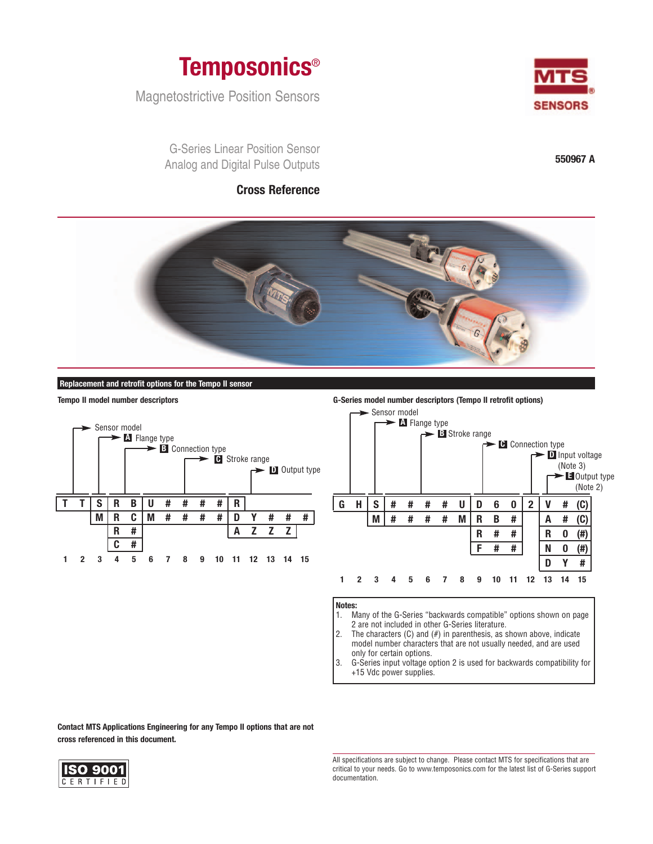

Magnetostrictive Position Sensors

G-Series Linear Position Sensor Analog and Digital Pulse Outputs

# **Cross Reference**



**550967 A**



### **Replacement and retrofit options for the Tempo II sensor**



**Tempo II model number descriptors G-Series model number descriptors (Tempo II retrofit options)**



**Notes:**

- 1. Many of the G-Series "backwards compatible" options shown on page 2 are not included in other G-Series literature.
- 2. The characters  $(C)$  and  $(H)$  in parenthesis, as shown above, indicate model number characters that are not usually needed, and are used only for certain options.
- 3. G-Series input voltage option 2 is used for backwards compatibility for +15 Vdc power supplies.

**Contact MTS Applications Engineering for any Tempo II options that are not cross referenced in this document.**



All specifications are subject to change. Please contact MTS for specifications that are critical to your needs. Go to www.temposonics.com for the latest list of G-Series support documentation.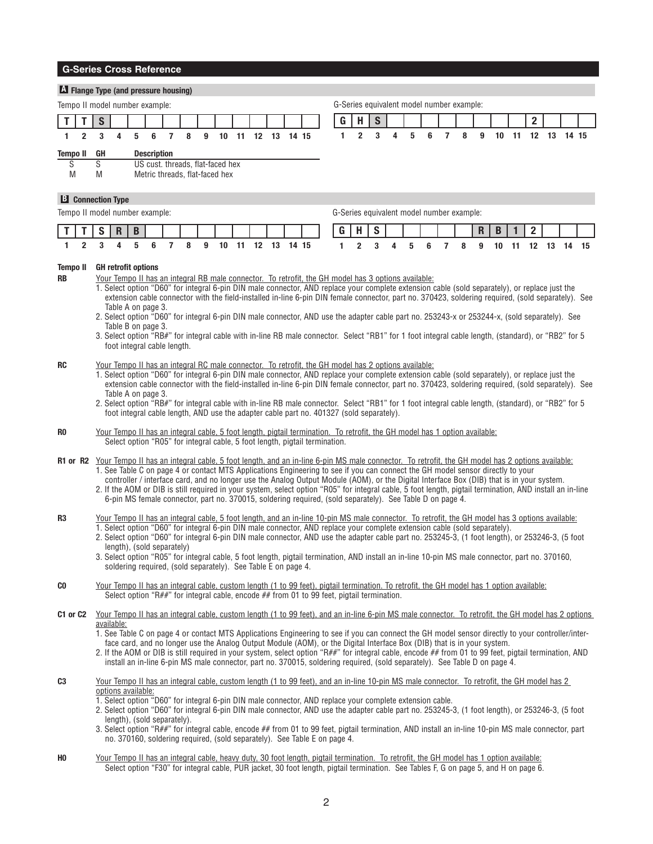|                             |                                      |                                                                                                                                                                                                                                                                                                                                                                                                                                                                                                                                                                                                                                                                                                                                                                                                                                       |                                                                        |   |   | <b>G-Series Cross Reference</b> |                                                                                                                                                                                                                                                                                                                                                                                                                                                                                                                                                                                                                                                                                                                                                                                                                                                                                                                                                                              |   |  |  |  |                   |  |   |                |                |               |   |   |   |                |                                           |              |   |                   |                |             |  |
|-----------------------------|--------------------------------------|---------------------------------------------------------------------------------------------------------------------------------------------------------------------------------------------------------------------------------------------------------------------------------------------------------------------------------------------------------------------------------------------------------------------------------------------------------------------------------------------------------------------------------------------------------------------------------------------------------------------------------------------------------------------------------------------------------------------------------------------------------------------------------------------------------------------------------------|------------------------------------------------------------------------|---|---|---------------------------------|------------------------------------------------------------------------------------------------------------------------------------------------------------------------------------------------------------------------------------------------------------------------------------------------------------------------------------------------------------------------------------------------------------------------------------------------------------------------------------------------------------------------------------------------------------------------------------------------------------------------------------------------------------------------------------------------------------------------------------------------------------------------------------------------------------------------------------------------------------------------------------------------------------------------------------------------------------------------------|---|--|--|--|-------------------|--|---|----------------|----------------|---------------|---|---|---|----------------|-------------------------------------------|--------------|---|-------------------|----------------|-------------|--|
|                             | A Flange Type (and pressure housing) |                                                                                                                                                                                                                                                                                                                                                                                                                                                                                                                                                                                                                                                                                                                                                                                                                                       |                                                                        |   |   |                                 |                                                                                                                                                                                                                                                                                                                                                                                                                                                                                                                                                                                                                                                                                                                                                                                                                                                                                                                                                                              |   |  |  |  |                   |  |   |                |                |               |   |   |   |                |                                           |              |   |                   |                |             |  |
|                             |                                      | Tempo II model number example:                                                                                                                                                                                                                                                                                                                                                                                                                                                                                                                                                                                                                                                                                                                                                                                                        |                                                                        |   |   |                                 |                                                                                                                                                                                                                                                                                                                                                                                                                                                                                                                                                                                                                                                                                                                                                                                                                                                                                                                                                                              |   |  |  |  |                   |  |   |                |                |               |   |   |   |                | G-Series equivalent model number example: |              |   |                   |                |             |  |
| Т                           | Т                                    | $\mathbf S$                                                                                                                                                                                                                                                                                                                                                                                                                                                                                                                                                                                                                                                                                                                                                                                                                           |                                                                        |   |   |                                 |                                                                                                                                                                                                                                                                                                                                                                                                                                                                                                                                                                                                                                                                                                                                                                                                                                                                                                                                                                              |   |  |  |  |                   |  | G | H              |                | $\mathbf S$   |   |   |   |                |                                           |              |   |                   | $\overline{2}$ |             |  |
| 1.                          | $\overline{2}$                       | 3                                                                                                                                                                                                                                                                                                                                                                                                                                                                                                                                                                                                                                                                                                                                                                                                                                     | 4                                                                      |   | 5 | 6<br>$\overline{7}$             | 8                                                                                                                                                                                                                                                                                                                                                                                                                                                                                                                                                                                                                                                                                                                                                                                                                                                                                                                                                                            | 9 |  |  |  | 10 11 12 13 14 15 |  | 1 |                | $\overline{2}$ | 3             | 4 | 5 | 6 | $\overline{7}$ | 8                                         | 9            |   | 10 11 12 13 14 15 |                |             |  |
| <b>Tempo II</b>             |                                      | <b>GH</b>                                                                                                                                                                                                                                                                                                                                                                                                                                                                                                                                                                                                                                                                                                                                                                                                                             |                                                                        |   |   | <b>Description</b>              |                                                                                                                                                                                                                                                                                                                                                                                                                                                                                                                                                                                                                                                                                                                                                                                                                                                                                                                                                                              |   |  |  |  |                   |  |   |                |                |               |   |   |   |                |                                           |              |   |                   |                |             |  |
| S<br>M                      |                                      | $\overline{\mathsf{s}}$<br>M                                                                                                                                                                                                                                                                                                                                                                                                                                                                                                                                                                                                                                                                                                                                                                                                          |                                                                        |   |   |                                 | US cust. threads, flat-faced hex<br>Metric threads, flat-faced hex                                                                                                                                                                                                                                                                                                                                                                                                                                                                                                                                                                                                                                                                                                                                                                                                                                                                                                           |   |  |  |  |                   |  |   |                |                |               |   |   |   |                |                                           |              |   |                   |                |             |  |
|                             |                                      | <b>B</b> Connection Type                                                                                                                                                                                                                                                                                                                                                                                                                                                                                                                                                                                                                                                                                                                                                                                                              |                                                                        |   |   |                                 |                                                                                                                                                                                                                                                                                                                                                                                                                                                                                                                                                                                                                                                                                                                                                                                                                                                                                                                                                                              |   |  |  |  |                   |  |   |                |                |               |   |   |   |                |                                           |              |   |                   |                |             |  |
|                             |                                      | Tempo II model number example:                                                                                                                                                                                                                                                                                                                                                                                                                                                                                                                                                                                                                                                                                                                                                                                                        |                                                                        |   |   |                                 |                                                                                                                                                                                                                                                                                                                                                                                                                                                                                                                                                                                                                                                                                                                                                                                                                                                                                                                                                                              |   |  |  |  |                   |  |   |                |                |               |   |   |   |                | G-Series equivalent model number example: |              |   |                   |                |             |  |
|                             |                                      | S                                                                                                                                                                                                                                                                                                                                                                                                                                                                                                                                                                                                                                                                                                                                                                                                                                     | R                                                                      |   | B |                                 |                                                                                                                                                                                                                                                                                                                                                                                                                                                                                                                                                                                                                                                                                                                                                                                                                                                                                                                                                                              |   |  |  |  |                   |  | G | н              |                | ${\mathbb S}$ |   |   |   |                |                                           | $\mathsf{R}$ | B | 1                 | $\mathbf 2$    |             |  |
| 1.                          | $\overline{2}$                       | 3                                                                                                                                                                                                                                                                                                                                                                                                                                                                                                                                                                                                                                                                                                                                                                                                                                     | 4                                                                      | 5 |   | $\overline{7}$<br>6             | 8                                                                                                                                                                                                                                                                                                                                                                                                                                                                                                                                                                                                                                                                                                                                                                                                                                                                                                                                                                            | 9 |  |  |  | 10 11 12 13 14 15 |  | 1 | $\overline{2}$ |                | 3             | 4 | 5 | 6 | $\overline{7}$ | 8                                         | 9            |   | $10 \quad 11$     |                | 12 13 14 15 |  |
| <b>Tempo II</b><br>RB<br>RC |                                      |                                                                                                                                                                                                                                                                                                                                                                                                                                                                                                                                                                                                                                                                                                                                                                                                                                       | <b>GH</b> retrofit options<br>Table A on page 3.<br>Table B on page 3. |   |   | foot integral cable length.     | Your Tempo II has an integral RB male connector. To retrofit, the GH model has 3 options available:<br>1. Select option "D60" for integral 6-pin DIN male connector, AND replace your complete extension cable (sold separately), or replace just the<br>extension cable connector with the field-installed in-line 6-pin DIN female connector, part no. 370423, soldering required, (sold separately). See<br>2. Select option "D60" for integral 6-pin DIN male connector, AND use the adapter cable part no. 253243-x or 253244-x, (sold separately). See<br>3. Select option "RB#" for integral cable with in-line RB male connector. Select "RB1" for 1 foot integral cable length, (standard), or "RB2" for 5<br>Your Tempo II has an integral RC male connector. To retrofit, the GH model has 2 options available:<br>1. Select option "D60" for integral 6-pin DIN male connector, AND replace your complete extension cable (sold separately), or replace just the |   |  |  |  |                   |  |   |                |                |               |   |   |   |                |                                           |              |   |                   |                |             |  |
| R0                          |                                      |                                                                                                                                                                                                                                                                                                                                                                                                                                                                                                                                                                                                                                                                                                                                                                                                                                       | Table A on page 3.                                                     |   |   |                                 | extension cable connector with the field-installed in-line 6-pin DIN female connector, part no. 370423, soldering required, (sold separately). See<br>2. Select option "RB#" for integral cable with in-line RB male connector. Select "RB1" for 1 foot integral cable length, (standard), or "RB2" for 5<br>foot integral cable length, AND use the adapter cable part no. 401327 (sold separately).<br>Your Tempo II has an integral cable, 5 foot length, pigtail termination. To retrofit, the GH model has 1 option available:<br>Select option "R05" for integral cable, 5 foot length, pigtail termination.                                                                                                                                                                                                                                                                                                                                                           |   |  |  |  |                   |  |   |                |                |               |   |   |   |                |                                           |              |   |                   |                |             |  |
|                             |                                      |                                                                                                                                                                                                                                                                                                                                                                                                                                                                                                                                                                                                                                                                                                                                                                                                                                       |                                                                        |   |   |                                 | R1 or R2 Your Tempo II has an integral cable, 5 foot length, and an in-line 6-pin MS male connector. To retrofit, the GH model has 2 options available:<br>1. See Table C on page 4 or contact MTS Applications Engineering to see if you can connect the GH model sensor directly to your<br>controller / interface card, and no longer use the Analog Output Module (AOM), or the Digital Interface Box (DIB) that is in your system.<br>2. If the AOM or DIB is still required in your system, select option "R05" for integral cable, 5 foot length, pigtail termination, AND install an in-line<br>6-pin MS female connector, part no. 370015, soldering required, (sold separately). See Table D on page 4.                                                                                                                                                                                                                                                            |   |  |  |  |                   |  |   |                |                |               |   |   |   |                |                                           |              |   |                   |                |             |  |
| R3                          |                                      |                                                                                                                                                                                                                                                                                                                                                                                                                                                                                                                                                                                                                                                                                                                                                                                                                                       |                                                                        |   |   | length), (sold separately)      | Your Tempo II has an integral cable, 5 foot length, and an in-line 10-pin MS male connector. To retrofit, the GH model has 3 options available:<br>1. Select option "D60" for integral 6-pin DIN male connector, AND replace your complete extension cable (sold separately).<br>2. Select option "D60" for integral 6-pin DIN male connector, AND use the adapter cable part no. 253245-3, (1 foot length), or 253246-3, (5 foot<br>3. Select option "R05" for integral cable, 5 foot length, pigtail termination, AND install an in-line 10-pin MS male connector, part no. 370160,<br>soldering required, (sold separately). See Table E on page 4.                                                                                                                                                                                                                                                                                                                       |   |  |  |  |                   |  |   |                |                |               |   |   |   |                |                                           |              |   |                   |                |             |  |
| CO                          |                                      |                                                                                                                                                                                                                                                                                                                                                                                                                                                                                                                                                                                                                                                                                                                                                                                                                                       |                                                                        |   |   |                                 | Your Tempo II has an integral cable, custom length (1 to 99 feet), pigtail termination. To retrofit, the GH model has 1 option available:                                                                                                                                                                                                                                                                                                                                                                                                                                                                                                                                                                                                                                                                                                                                                                                                                                    |   |  |  |  |                   |  |   |                |                |               |   |   |   |                |                                           |              |   |                   |                |             |  |
| C1 or C2                    |                                      | Select option "R##" for integral cable, encode ## from 01 to 99 feet, pigtail termination.<br>Your Tempo II has an integral cable, custom length (1 to 99 feet), and an in-line 6-pin MS male connector. To retrofit, the GH model has 2 options<br>available:<br>1. See Table C on page 4 or contact MTS Applications Engineering to see if you can connect the GH model sensor directly to your controller/inter-<br>face card, and no longer use the Analog Output Module (AOM), or the Digital Interface Box (DIB) that is in your system.<br>2. If the AOM or DIB is still required in your system, select option "R##" for integral cable, encode ## from 01 to 99 feet, pigtail termination, AND<br>install an in-line 6-pin MS male connector, part no. 370015, soldering required, (sold separately). See Table D on page 4. |                                                                        |   |   |                                 |                                                                                                                                                                                                                                                                                                                                                                                                                                                                                                                                                                                                                                                                                                                                                                                                                                                                                                                                                                              |   |  |  |  |                   |  |   |                |                |               |   |   |   |                |                                           |              |   |                   |                |             |  |
| C3                          |                                      |                                                                                                                                                                                                                                                                                                                                                                                                                                                                                                                                                                                                                                                                                                                                                                                                                                       | options available:                                                     |   |   | length), (sold separately).     | Your Tempo II has an integral cable, custom length (1 to 99 feet), and an in-line 10-pin MS male connector. To retrofit, the GH model has 2<br>1. Select option "D60" for integral 6-pin DIN male connector, AND replace your complete extension cable.<br>2. Select option "D60" for integral 6-pin DIN male connector, AND use the adapter cable part no. 253245-3, (1 foot length), or 253246-3, (5 foot<br>3. Select option "R##" for integral cable, encode ## from 01 to 99 feet, pigtail termination, AND install an in-line 10-pin MS male connector, part<br>no. 370160, soldering required, (sold separately). See Table E on page 4.                                                                                                                                                                                                                                                                                                                              |   |  |  |  |                   |  |   |                |                |               |   |   |   |                |                                           |              |   |                   |                |             |  |
| HO                          |                                      |                                                                                                                                                                                                                                                                                                                                                                                                                                                                                                                                                                                                                                                                                                                                                                                                                                       |                                                                        |   |   |                                 | Your Tempo II has an integral cable, heavy duty, 30 foot length, pigtail termination. To retrofit, the GH model has 1 option available:<br>Select option "F30" for integral cable, PUR jacket, 30 foot length, pigtail termination. See Tables F, G on page 5, and H on page 6.                                                                                                                                                                                                                                                                                                                                                                                                                                                                                                                                                                                                                                                                                              |   |  |  |  |                   |  |   |                |                |               |   |   |   |                |                                           |              |   |                   |                |             |  |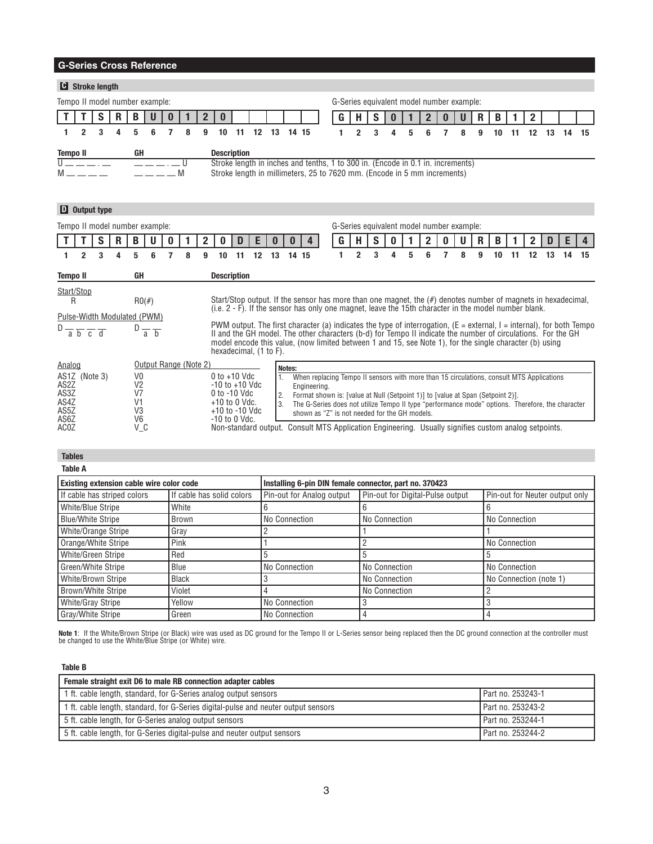|                 |   | <b>C</b> Stroke length         |   |           |   |   |   |    |                                                                                                                                                             |    |    |       |                                           |   |                                           |   |   |   |   |    |    |    |    |    |    |
|-----------------|---|--------------------------------|---|-----------|---|---|---|----|-------------------------------------------------------------------------------------------------------------------------------------------------------------|----|----|-------|-------------------------------------------|---|-------------------------------------------|---|---|---|---|----|----|----|----|----|----|
|                 |   | Tempo II model number example: |   |           |   |   |   |    |                                                                                                                                                             |    |    |       |                                           |   | G-Series equivalent model number example: |   |   |   |   |    |    |    |    |    |    |
|                 |   |                                |   | B         |   |   |   |    |                                                                                                                                                             |    |    |       |                                           |   |                                           |   |   |   | R | в  |    |    |    |    |    |
|                 | 2 | 3                              | Δ | 5         | 6 | 8 | 9 | 10 | 11                                                                                                                                                          | 12 | 13 | 14 15 |                                           | 2 | 3                                         | 5 | հ | ឧ | g | 10 |    | 12 | 13 | 14 | 15 |
| <b>Tempo II</b> |   |                                |   | GH        |   |   |   |    | <b>Description</b>                                                                                                                                          |    |    |       |                                           |   |                                           |   |   |   |   |    |    |    |    |    |    |
|                 |   |                                |   |           |   |   |   |    | Stroke length in inches and tenths, 1 to 300 in. (Encode in 0.1 in. increments)<br>Stroke length in millimeters, 25 to 7620 mm. (Encode in 5 mm increments) |    |    |       |                                           |   |                                           |   |   |   |   |    |    |    |    |    |    |
|                 |   | $\mathbf{D}$ Output type       |   |           |   |   |   |    |                                                                                                                                                             |    |    |       |                                           |   |                                           |   |   |   |   |    |    |    |    |    |    |
|                 |   |                                |   |           |   |   |   |    |                                                                                                                                                             |    |    |       |                                           |   |                                           |   |   |   |   |    |    |    |    |    |    |
|                 |   | Tempo II model number example: |   |           |   |   |   |    |                                                                                                                                                             |    |    |       | G-Series equivalent model number example: |   |                                           |   |   |   |   |    |    |    |    |    |    |
|                 |   |                                | R | B         | U |   | 2 |    |                                                                                                                                                             | н  |    |       |                                           |   | S                                         |   |   |   | R |    |    |    |    |    |    |
|                 | 2 | 3                              | 4 | 5         | 6 | 8 | 9 | 10 | 11                                                                                                                                                          | 12 | 13 | 14 15 |                                           | 2 | 3                                         | 5 | 6 | 8 | 9 | 10 | 11 | 12 | 13 | 14 | 15 |
| <b>Tempo II</b> |   |                                |   | <b>GH</b> |   |   |   |    | <b>Description</b>                                                                                                                                          |    |    |       |                                           |   |                                           |   |   |   |   |    |    |    |    |    |    |

| Analog                                                | Output Range (Note 2) |                                                                                                        | Notes: |                                                                                                                                                                                                                                                                                                                                                 |
|-------------------------------------------------------|-----------------------|--------------------------------------------------------------------------------------------------------|--------|-------------------------------------------------------------------------------------------------------------------------------------------------------------------------------------------------------------------------------------------------------------------------------------------------------------------------------------------------|
| AS1Z (Note 3)<br>AS2Z<br>AS3Z<br>AS4Z<br>AS5Z<br>AS6Z | V0<br>V2<br>VЗ<br>V6  | 0 to +10 Vdc<br>-10 to +10 Vdc<br>0 to -10 Vdc<br>$+10$ to 0 Vdc.<br>+10 to -10 Vdc<br>$-10$ to 0 Vdc. |        | When replacing Tempo II sensors with more than 15 circulations, consult MTS Applications<br>Engineering.<br>Format shown is: [value at Null (Setpoint 1)] to [value at Span (Setpoint 2)].<br>The G-Series does not utilize Tempo II type "performance mode" options. Therefore, the character<br>shown as "Z" is not needed for the GH models. |
| AC <sub>0</sub> Z                                     | V C                   |                                                                                                        |        | Non-standard output. Consult MTS Application Engineering. Usually signifies custom analog setpoints.                                                                                                                                                                                                                                            |

| <b>Existing extension cable wire color code</b> |                           | Installing 6-pin DIN female connector, part no. 370423 |                                  |                                |  |  |  |  |  |
|-------------------------------------------------|---------------------------|--------------------------------------------------------|----------------------------------|--------------------------------|--|--|--|--|--|
| If cable has striped colors                     | If cable has solid colors | Pin-out for Analog output                              | Pin-out for Digital-Pulse output | Pin-out for Neuter output only |  |  |  |  |  |
| <b>White/Blue Stripe</b>                        | White                     |                                                        |                                  |                                |  |  |  |  |  |
| <b>Blue/White Stripe</b>                        | Brown                     | No Connection                                          | No Connection                    | No Connection                  |  |  |  |  |  |
| White/Orange Stripe                             | Gray                      |                                                        |                                  |                                |  |  |  |  |  |
| Orange/White Stripe                             | Pink                      |                                                        |                                  | No Connection                  |  |  |  |  |  |
| White/Green Stripe                              | Red                       |                                                        |                                  |                                |  |  |  |  |  |
| Green/White Stripe                              | Blue                      | No Connection                                          | No Connection                    | No Connection                  |  |  |  |  |  |
| White/Brown Stripe                              | <b>Black</b>              |                                                        | No Connection                    | No Connection (note 1)         |  |  |  |  |  |
| Brown/White Stripe                              | Violet                    |                                                        | No Connection                    |                                |  |  |  |  |  |
| <b>White/Gray Stripe</b>                        | Yellow                    | No Connection                                          |                                  |                                |  |  |  |  |  |
| <b>Gray/White Stripe</b>                        | Green                     | No Connection                                          |                                  |                                |  |  |  |  |  |

**Note 1**: If the White/Brown Stripe (or Black) wire was used as DC ground for the Tempo II or L-Series sensor being replaced then the DC ground connection at the controller must<br>be changed to use the White/Blue Stripe (or

**Table B**

| Female straight exit D6 to male RB connection adapter cables                       |                   |  |  |  |  |  |  |  |
|------------------------------------------------------------------------------------|-------------------|--|--|--|--|--|--|--|
| 1 ft. cable length, standard, for G-Series analog output sensors                   | Part no. 253243-1 |  |  |  |  |  |  |  |
| 1 ft. cable length, standard, for G-Series digital-pulse and neuter output sensors | Part no. 253243-2 |  |  |  |  |  |  |  |
| 5 ft. cable length, for G-Series analog output sensors                             | Part no. 253244-1 |  |  |  |  |  |  |  |
| 5 ft. cable length, for G-Series digital-pulse and neuter output sensors           | Part no. 253244-2 |  |  |  |  |  |  |  |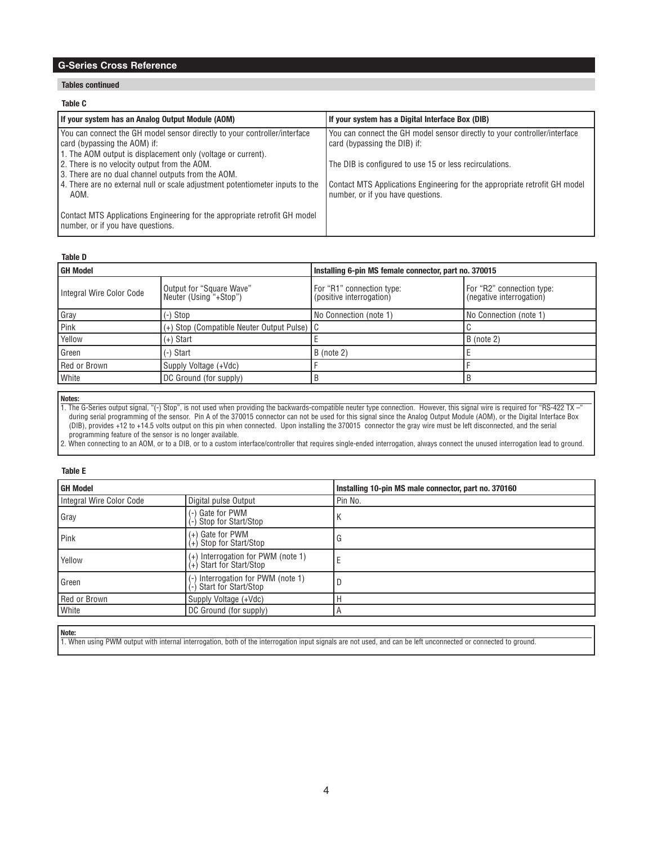### **Tables continued**

#### **Table C**

| If your system has an Analog Output Module (AOM)                                                                                    | If your system has a Digital Interface Box (DIB)                                                          |
|-------------------------------------------------------------------------------------------------------------------------------------|-----------------------------------------------------------------------------------------------------------|
| You can connect the GH model sensor directly to your controller/interface<br>card (bypassing the AOM) if:                           | You can connect the GH model sensor directly to your controller/interface<br>card (bypassing the DIB) if: |
| 1. The AOM output is displacement only (voltage or current).<br>2. There is no velocity output from the AOM.                        | The DIB is configured to use 15 or less recirculations.                                                   |
| 3. There are no dual channel outputs from the AOM.<br>4. There are no external null or scale adjustment potentiometer inputs to the | Contact MTS Applications Engineering for the appropriate retrofit GH model                                |
| AOM.<br>Contact MTS Applications Engineering for the appropriate retrofit GH model                                                  | number, or if you have questions.                                                                         |
| number, or if you have questions.                                                                                                   |                                                                                                           |

### **Table D**

| l GH Model               |                                                    | Installing 6-pin MS female connector, part no. 370015 |                                                       |  |  |  |  |
|--------------------------|----------------------------------------------------|-------------------------------------------------------|-------------------------------------------------------|--|--|--|--|
| Integral Wire Color Code | Output for "Square Wave"<br>Neuter (Using "+Stop") | For "R1" connection type:<br>(positive interrogation) | For "R2" connection type:<br>(negative interrogation) |  |  |  |  |
| Gray                     | (-) Stop                                           | No Connection (note 1)                                | No Connection (note 1)                                |  |  |  |  |
| Pink                     | (+) Stop (Compatible Neuter Output Pulse) C        |                                                       |                                                       |  |  |  |  |
| Yellow                   | (+) Start                                          |                                                       | $B$ (note 2)                                          |  |  |  |  |
| l Green                  | (-) Start                                          | $B$ (note 2)                                          |                                                       |  |  |  |  |
| Red or Brown             | Supply Voltage (+Vdc)                              |                                                       |                                                       |  |  |  |  |
| <b>White</b>             | DC Ground (for supply)                             |                                                       |                                                       |  |  |  |  |

**Notes:**

1. The G-Series output signal, "(-) Stop", is not used when providing the backwards-compatible neuter type connection. However, this signal wire is required for "RS-422 TX –" during serial programming of the sensor. Pin A of the 370015 connector can not be used for this signal since the Analog Output Module (AOM), or the Digital Interface Box (DIB), provides +12 to +14.5 volts output on this pin when connected. Upon installing the 370015 connector the gray wire must be left disconnected, and the serial programming feature of the sensor is no longer available.

2. When connecting to an AOM, or to a DIB, or to a custom interface/controller that requires single-ended interrogation, always connect the unused interrogation lead to ground.

### **Table E**

| <b>GH Model</b>          |                                                                | Installing 10-pin MS male connector, part no. 370160 |
|--------------------------|----------------------------------------------------------------|------------------------------------------------------|
| Integral Wire Color Code | Digital pulse Output                                           | Pin No.                                              |
| Gray                     | Gate for PWM<br>Stop for Start/Stop                            | n                                                    |
| <b>Pink</b>              | (+) Gate for PWM<br>(+) Stop for Start/Stop                    | u                                                    |
| Yellow                   | (+) Interrogation for PWM (note 1)<br>(+) Start for Start/Stop |                                                      |
| l Green                  | Interrogation for PWM (note 1)<br>Start for Start/Stop         |                                                      |
| Red or Brown             | Supply Voltage (+Vdc)                                          |                                                      |
| <b>White</b>             | DC Ground (for supply)                                         | н                                                    |
|                          |                                                                |                                                      |

**Note:**

1. When using PWM output with internal interrogation, both of the interrogation input signals are not used, and can be left unconnected or connected to ground.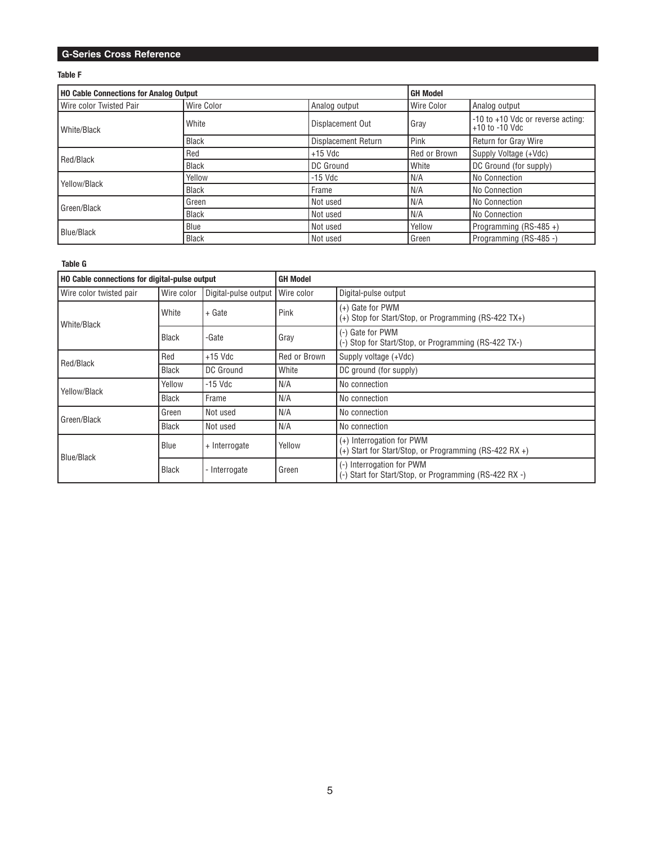### **Table F**

| <b>HO Cable Connections for Analog Output</b> |              | <b>GH Model</b>            |                   |                                                         |  |
|-----------------------------------------------|--------------|----------------------------|-------------------|---------------------------------------------------------|--|
| Wire color Twisted Pair                       | Wire Color   | Analog output              | <b>Wire Color</b> | Analog output                                           |  |
| White/Black                                   | White        | Displacement Out           | Gray              | -10 to +10 Vdc or reverse acting:<br>$+10$ to $-10$ Vdc |  |
|                                               | <b>Black</b> | <b>Displacement Return</b> | l Pink            | <b>Return for Gray Wire</b>                             |  |
| Red/Black                                     | Red          | $+15$ Vdc                  | Red or Brown      | Supply Voltage (+Vdc)                                   |  |
|                                               | <b>Black</b> | DC Ground                  | White             | DC Ground (for supply)                                  |  |
| Yellow/Black                                  | Yellow       | $-15$ Vdc                  | N/A               | No Connection                                           |  |
|                                               | <b>Black</b> | Frame                      | N/A               | No Connection                                           |  |
| Green/Black                                   | Green        | l Not used                 | N/A               | No Connection                                           |  |
|                                               | <b>Black</b> | Not used                   | N/A               | No Connection                                           |  |
| <b>Blue/Black</b>                             | Blue         | Not used                   | Yellow            | Programming (RS-485+)                                   |  |
|                                               | <b>Black</b> | Not used                   | Green             | Programming (RS-485 -)                                  |  |

## **Table G**

| <b>HO Cable connections for digital-pulse output</b> |              |                      | <b>GH Model</b> |                                                                                       |
|------------------------------------------------------|--------------|----------------------|-----------------|---------------------------------------------------------------------------------------|
| Wire color twisted pair                              | Wire color   | Digital-pulse output | Wire color      | Digital-pulse output                                                                  |
| l White/Black                                        | White        | + Gate               | Pink            | (+) Gate for PWM<br>(+) Stop for Start/Stop, or Programming (RS-422 TX+)              |
|                                                      | <b>Black</b> | -Gate                | Gray            | (-) Gate for PWM<br>(-) Stop for Start/Stop, or Programming (RS-422 TX-)              |
| Red/Black                                            | Red          | $+15$ Vdc            | Red or Brown    | Supply voltage (+Vdc)                                                                 |
|                                                      | <b>Black</b> | DC Ground            | White           | DC ground (for supply)                                                                |
| Yellow/Black                                         | Yellow       | $-15$ Vdc            | N/A             | No connection                                                                         |
|                                                      | <b>Black</b> | Frame                | N/A             | No connection                                                                         |
| l Green/Black                                        | Green        | Not used             | N/A             | No connection                                                                         |
|                                                      | <b>Black</b> | Not used             | N/A             | No connection                                                                         |
| Blue/Black                                           | Blue         | + Interrogate        | Yellow          | (+) Interrogation for PWM<br>$(+)$ Start for Start/Stop, or Programming (RS-422 RX +) |
|                                                      | <b>Black</b> | - Interrogate        | Green           | (-) Interrogation for PWM<br>Start for Start/Stop, or Programming (RS-422 RX -)       |